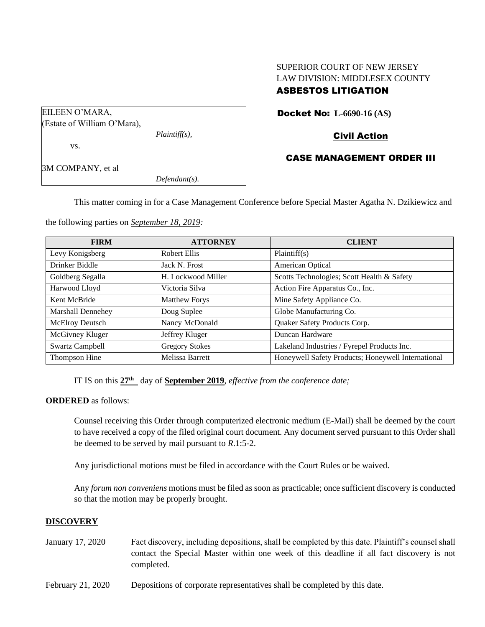# SUPERIOR COURT OF NEW JERSEY LAW DIVISION: MIDDLESEX COUNTY

## ASBESTOS LITIGATION

Docket No: **L-6690-16 (AS)**

# Civil Action

## CASE MANAGEMENT ORDER III

*Defendant(s).*

*Plaintiff(s),*

This matter coming in for a Case Management Conference before Special Master Agatha N. Dzikiewicz and

the following parties on *September 18, 2019:*

| <b>FIRM</b>            | <b>ATTORNEY</b>       | <b>CLIENT</b>                                      |
|------------------------|-----------------------|----------------------------------------------------|
| Levy Konigsberg        | Robert Ellis          | Plaintiff(s)                                       |
| Drinker Biddle         | Jack N. Frost         | American Optical                                   |
| Goldberg Segalla       | H. Lockwood Miller    | Scotts Technologies; Scott Health & Safety         |
| Harwood Lloyd          | Victoria Silva        | Action Fire Apparatus Co., Inc.                    |
| Kent McBride           | <b>Matthew Forys</b>  | Mine Safety Appliance Co.                          |
| Marshall Dennehey      | Doug Suplee           | Globe Manufacturing Co.                            |
| McElroy Deutsch        | Nancy McDonald        | Quaker Safety Products Corp.                       |
| McGivney Kluger        | Jeffrey Kluger        | Duncan Hardware                                    |
| <b>Swartz Campbell</b> | <b>Gregory Stokes</b> | Lakeland Industries / Fyrepel Products Inc.        |
| Thompson Hine          | Melissa Barrett       | Honeywell Safety Products; Honeywell International |

IT IS on this **27th** day of **September 2019**, *effective from the conference date;*

### **ORDERED** as follows:

EILEEN O'MARA,

vs.

3M COMPANY, et al

(Estate of William O'Mara),

Counsel receiving this Order through computerized electronic medium (E-Mail) shall be deemed by the court to have received a copy of the filed original court document. Any document served pursuant to this Order shall be deemed to be served by mail pursuant to *R*.1:5-2.

Any jurisdictional motions must be filed in accordance with the Court Rules or be waived.

Any *forum non conveniens* motions must be filed as soon as practicable; once sufficient discovery is conducted so that the motion may be properly brought.

### **DISCOVERY**

- January 17, 2020 Fact discovery, including depositions, shall be completed by this date. Plaintiff's counsel shall contact the Special Master within one week of this deadline if all fact discovery is not completed.
- February 21, 2020 Depositions of corporate representatives shall be completed by this date.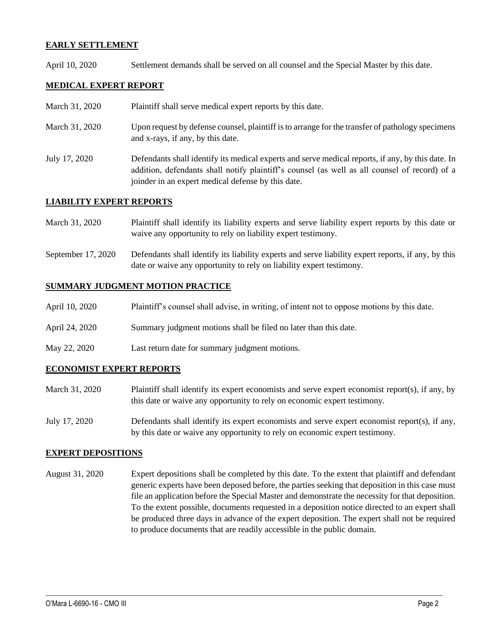## **EARLY SETTLEMENT**

April 10, 2020 Settlement demands shall be served on all counsel and the Special Master by this date.

## **MEDICAL EXPERT REPORT**

- March 31, 2020 Plaint if shall serve medical expert reports by this date.
- March 31, 2020 Upon request by defense counsel, plaintiff is to arrange for the transfer of pathology specimens and x-rays, if any, by this date.
- July 17, 2020 Defendants shall identify its medical experts and serve medical reports, if any, by this date. In addition, defendants shall notify plaintiff's counsel (as well as all counsel of record) of a joinder in an expert medical defense by this date.

## **LIABILITY EXPERT REPORTS**

- March 31, 2020 Plaintiff shall identify its liability experts and serve liability expert reports by this date or waive any opportunity to rely on liability expert testimony.
- September 17, 2020 Defendants shall identify its liability experts and serve liability expert reports, if any, by this date or waive any opportunity to rely on liability expert testimony.

#### **SUMMARY JUDGMENT MOTION PRACTICE**

- April 10, 2020 Plaintiff's counsel shall advise, in writing, of intent not to oppose motions by this date.
- April 24, 2020 Summary judgment motions shall be filed no later than this date.
- May 22, 2020 Last return date for summary judgment motions.

### **ECONOMIST EXPERT REPORTS**

- March 31, 2020 Plaintiff shall identify its expert economists and serve expert economist report(s), if any, by this date or waive any opportunity to rely on economic expert testimony.
- July 17, 2020 Defendants shall identify its expert economists and serve expert economist report(s), if any, by this date or waive any opportunity to rely on economic expert testimony.

### **EXPERT DEPOSITIONS**

August 31, 2020 Expert depositions shall be completed by this date. To the extent that plaintiff and defendant generic experts have been deposed before, the parties seeking that deposition in this case must file an application before the Special Master and demonstrate the necessity for that deposition. To the extent possible, documents requested in a deposition notice directed to an expert shall be produced three days in advance of the expert deposition. The expert shall not be required to produce documents that are readily accessible in the public domain.

 $\_$  , and the set of the set of the set of the set of the set of the set of the set of the set of the set of the set of the set of the set of the set of the set of the set of the set of the set of the set of the set of th